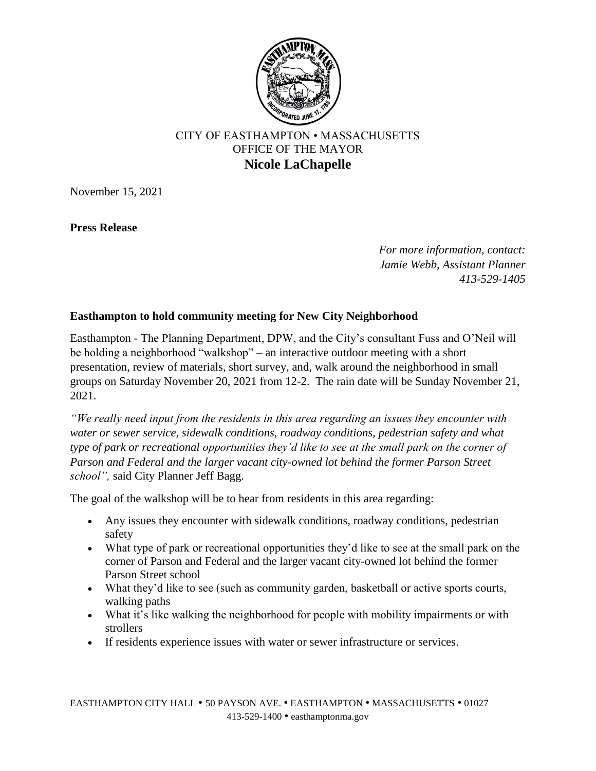

## CITY OF EASTHAMPTON • MASSACHUSETTS OFFICE OF THE MAYOR **Nicole LaChapelle**

November 15, 2021

**Press Release**

*For more information, contact: Jamie Webb, Assistant Planner 413-529-1405*

## **Easthampton to hold community meeting for New City Neighborhood**

Easthampton - The Planning Department, DPW, and the City's consultant Fuss and O'Neil will be holding a neighborhood "walkshop" – an interactive outdoor meeting with a short presentation, review of materials, short survey, and, walk around the neighborhood in small groups on Saturday November 20, 2021 from 12-2. The rain date will be Sunday November 21, 2021.

*"We really need input from the residents in this area regarding an issues they encounter with water or sewer service, sidewalk conditions, roadway conditions, pedestrian safety and what type of park or recreational opportunities they'd like to see at the small park on the corner of Parson and Federal and the larger vacant city-owned lot behind the former Parson Street school",* said City Planner Jeff Bagg.

The goal of the walkshop will be to hear from residents in this area regarding:

- Any issues they encounter with sidewalk conditions, roadway conditions, pedestrian safety
- What type of park or recreational opportunities they'd like to see at the small park on the corner of Parson and Federal and the larger vacant city-owned lot behind the former Parson Street school
- What they'd like to see (such as community garden, basketball or active sports courts, walking paths
- What it's like walking the neighborhood for people with mobility impairments or with strollers
- If residents experience issues with water or sewer infrastructure or services.